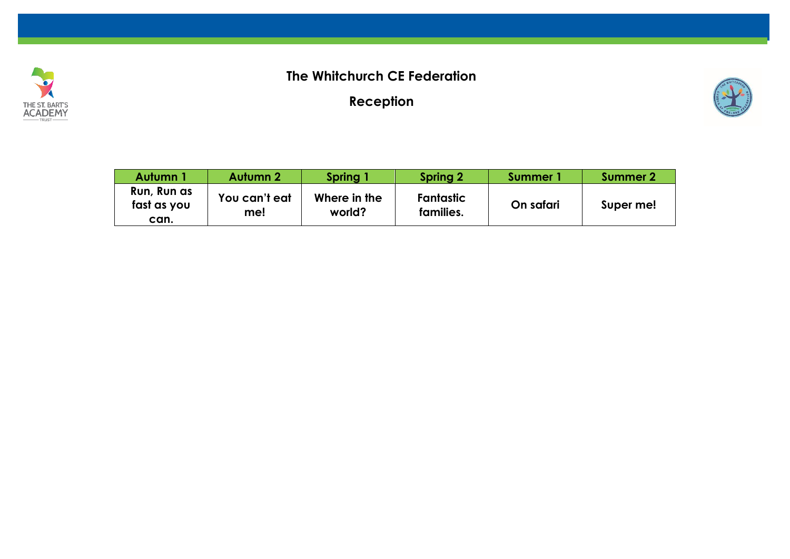

## **The Whitchurch CE Federation**

**Reception**



| Autumn 1                           | <b>Autumn 2</b>      | Spring 1               | <b>Spring 2</b>               | Summer 1  | Summer 2  |
|------------------------------------|----------------------|------------------------|-------------------------------|-----------|-----------|
| Run, Run as<br>fast as you<br>can. | You can't eat<br>me! | Where in the<br>world? | <b>Fantastic</b><br>families. | On safari | Super me! |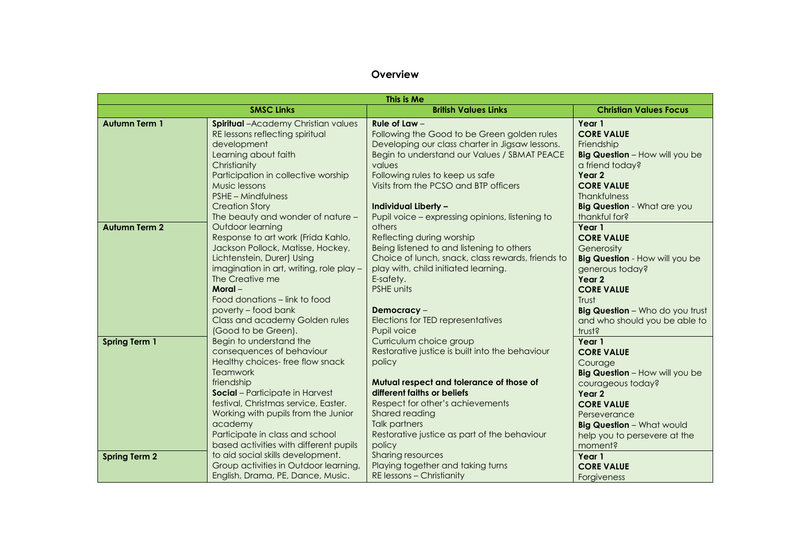## **Overview**

|                      |                                                                                                                                                                                                                                                                                                                                   | This is Me                                                                                                                                                                                                                                                                                                             |                                                                                                                                                                                                                                    |
|----------------------|-----------------------------------------------------------------------------------------------------------------------------------------------------------------------------------------------------------------------------------------------------------------------------------------------------------------------------------|------------------------------------------------------------------------------------------------------------------------------------------------------------------------------------------------------------------------------------------------------------------------------------------------------------------------|------------------------------------------------------------------------------------------------------------------------------------------------------------------------------------------------------------------------------------|
|                      | <b>SMSC Links</b>                                                                                                                                                                                                                                                                                                                 | <b>British Values Links</b>                                                                                                                                                                                                                                                                                            | <b>Christian Values Focus</b>                                                                                                                                                                                                      |
| <b>Autumn Term 1</b> | <b>Spiritual</b> -Academy Christian values<br>RE lessons reflecting spiritual<br>development<br>Learning about faith<br>Christianity<br>Participation in collective worship<br>Music lessons<br><b>PSHE - Mindfulness</b><br><b>Creation Story</b>                                                                                | Rule of Law $-$<br>Following the Good to be Green golden rules<br>Developing our class charter in Jigsaw lessons.<br>Begin to understand our Values / SBMAT PEACE<br>values<br>Following rules to keep us safe<br>Visits from the PCSO and BTP officers<br><b>Individual Liberty -</b>                                 | Year 1<br><b>CORE VALUE</b><br>Friendship<br>Big Question - How will you be<br>a friend today?<br>Year 2<br><b>CORE VALUE</b><br><b>Thankfulness</b><br><b>Big Question</b> - What are you                                         |
| <b>Autumn Term 2</b> | The beauty and wonder of nature -<br>Outdoor learning<br>Response to art work (Frida Kahlo,<br>Jackson Pollock, Matisse, Hockey,<br>Lichtenstein, Durer) Using<br>imagination in art, writing, role play -<br>The Creative me<br>Moral-<br>Food donations – link to food<br>poverty – food bank<br>Class and academy Golden rules | Pupil voice – expressing opinions, listening to<br>others<br>Reflecting during worship<br>Being listened to and listening to others<br>Choice of lunch, snack, class rewards, friends to<br>play with, child initiated learning.<br>E-safety.<br><b>PSHE units</b><br>Democracy -<br>Elections for TED representatives | thankful for?<br>Year 1<br><b>CORE VALUE</b><br>Generosity<br><b>Big Question</b> - How will you be<br>generous today?<br>Year 2<br><b>CORE VALUE</b><br>Trust<br>Big Question - Who do you trust<br>and who should you be able to |
|                      | (Good to be Green).                                                                                                                                                                                                                                                                                                               | Pupil voice                                                                                                                                                                                                                                                                                                            | trust?                                                                                                                                                                                                                             |
| <b>Spring Term 1</b> | Begin to understand the<br>consequences of behaviour<br>Healthy choices-free flow snack<br><b>Teamwork</b>                                                                                                                                                                                                                        | Curriculum choice group<br>Restorative justice is built into the behaviour<br>policy                                                                                                                                                                                                                                   | Year 1<br><b>CORE VALUE</b><br>Courage<br>Big Question - How will you be                                                                                                                                                           |
|                      | friendship<br>Social - Participate in Harvest<br>festival, Christmas service, Easter.<br>Working with pupils from the Junior<br>academy<br>Participate in class and school<br>based activities with different pupils                                                                                                              | Mutual respect and tolerance of those of<br>different faiths or beliefs<br>Respect for other's achievements<br>Shared reading<br><b>Talk partners</b><br>Restorative justice as part of the behaviour<br>policy                                                                                                        | courageous today?<br>Year 2<br><b>CORE VALUE</b><br>Perseverance<br><b>Big Question - What would</b><br>help you to persevere at the<br>moment?                                                                                    |
| <b>Spring Term 2</b> | to aid social skills development.<br>Group activities in Outdoor learning,<br>English, Drama, PE, Dance, Music.                                                                                                                                                                                                                   | Sharing resources<br>Playing together and taking turns<br>RE lessons - Christianity                                                                                                                                                                                                                                    | Year 1<br><b>CORE VALUE</b><br>Forgiveness                                                                                                                                                                                         |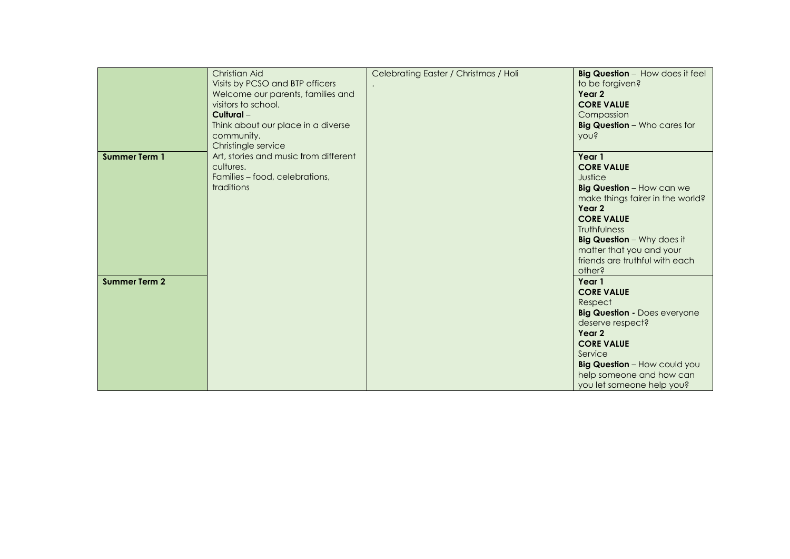|                      | Christian Aid<br>Visits by PCSO and BTP officers<br>Welcome our parents, families and<br>visitors to school.<br>Cultural-<br>Think about our place in a diverse<br>community. | Celebrating Easter / Christmas / Holi | Big Question - How does it feel<br>to be forgiven?<br>Year 2<br><b>CORE VALUE</b><br>Compassion<br><b>Big Question</b> - Who cares for<br><b>YOU?</b>                                                                                                                      |
|----------------------|-------------------------------------------------------------------------------------------------------------------------------------------------------------------------------|---------------------------------------|----------------------------------------------------------------------------------------------------------------------------------------------------------------------------------------------------------------------------------------------------------------------------|
| <b>Summer Term 1</b> | Christingle service<br>Art, stories and music from different<br>cultures.<br>Families - food, celebrations,<br>traditions                                                     |                                       | Year 1<br><b>CORE VALUE</b><br>Justice<br>Big Question - How can we<br>make things fairer in the world?<br>Year 2<br><b>CORE VALUE</b><br><b>Truthfulness</b><br><b>Big Question</b> - Why does it<br>matter that you and your<br>friends are truthful with each<br>other? |
| <b>Summer Term 2</b> |                                                                                                                                                                               |                                       | Year 1<br><b>CORE VALUE</b><br>Respect<br><b>Big Question - Does everyone</b><br>deserve respect?<br>Year 2<br><b>CORE VALUE</b><br>Service<br><b>Big Question - How could you</b><br>help someone and how can<br>you let someone help you?                                |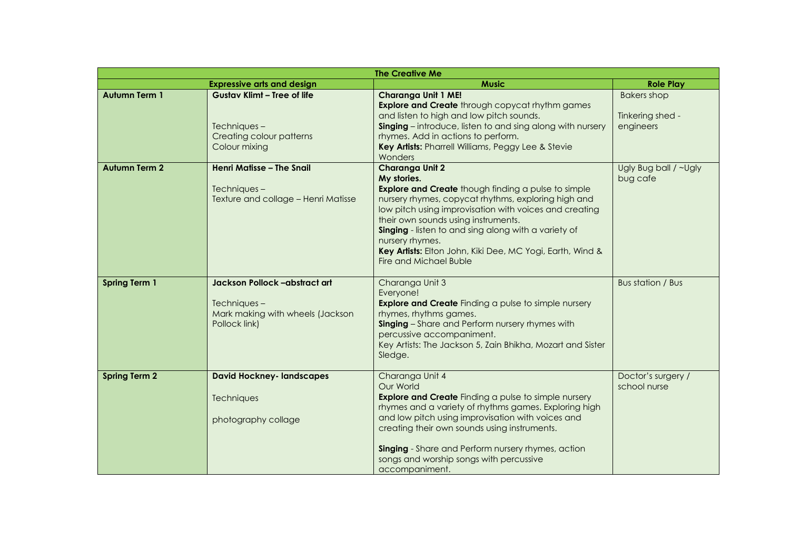|                      |                                                                                                   | <b>The Creative Me</b>                                                                                                                                                                                                                                                                                                                                                                                                 |                                                     |  |  |  |
|----------------------|---------------------------------------------------------------------------------------------------|------------------------------------------------------------------------------------------------------------------------------------------------------------------------------------------------------------------------------------------------------------------------------------------------------------------------------------------------------------------------------------------------------------------------|-----------------------------------------------------|--|--|--|
|                      | <b>Expressive arts and design</b>                                                                 | <b>Music</b>                                                                                                                                                                                                                                                                                                                                                                                                           | <b>Role Play</b>                                    |  |  |  |
| <b>Autumn Term 1</b> | <b>Gustav Klimt - Tree of life</b><br>Techniques-<br>Creating colour patterns<br>Colour mixing    | <b>Charanga Unit 1 ME!</b><br><b>Explore and Create</b> through copycat rhythm games<br>and listen to high and low pitch sounds.<br><b>Singing</b> – introduce, listen to and sing along with nursery<br>rhymes. Add in actions to perform.<br>Key Artists: Pharrell Williams, Peggy Lee & Stevie<br>Wonders                                                                                                           | <b>Bakers shop</b><br>Tinkering shed -<br>engineers |  |  |  |
| <b>Autumn Term 2</b> | Henri Matisse - The Snail<br>Techniques-<br>Texture and collage - Henri Matisse                   | Charanga Unit 2<br>My stories.<br><b>Explore and Create</b> though finding a pulse to simple<br>nursery rhymes, copycat rhythms, exploring high and<br>low pitch using improvisation with voices and creating<br>their own sounds using instruments.<br>Singing - listen to and sing along with a variety of<br>nursery rhymes.<br>Key Artists: Elton John, Kiki Dee, MC Yogi, Earth, Wind &<br>Fire and Michael Buble | Ugly Bug ball / ~Ugly<br>bug cafe                   |  |  |  |
| <b>Spring Term 1</b> | Jackson Pollock -abstract art<br>Techniques-<br>Mark making with wheels (Jackson<br>Pollock link) | Charanga Unit 3<br>Everyone!<br><b>Explore and Create</b> Finding a pulse to simple nursery<br>rhymes, rhythms games.<br>Singing - Share and Perform nursery rhymes with<br>percussive accompaniment.<br>Key Artists: The Jackson 5, Zain Bhikha, Mozart and Sister<br>Sledge.                                                                                                                                         | Bus station / Bus                                   |  |  |  |
| <b>Spring Term 2</b> | <b>David Hockney- landscapes</b><br>Techniques<br>photography collage                             | Charanga Unit 4<br>Our World<br><b>Explore and Create</b> Finding a pulse to simple nursery<br>rhymes and a variety of rhythms games. Exploring high<br>and low pitch using improvisation with voices and<br>creating their own sounds using instruments.<br>Singing - Share and Perform nursery rhymes, action<br>songs and worship songs with percussive<br>accompaniment.                                           | Doctor's surgery /<br>school nurse                  |  |  |  |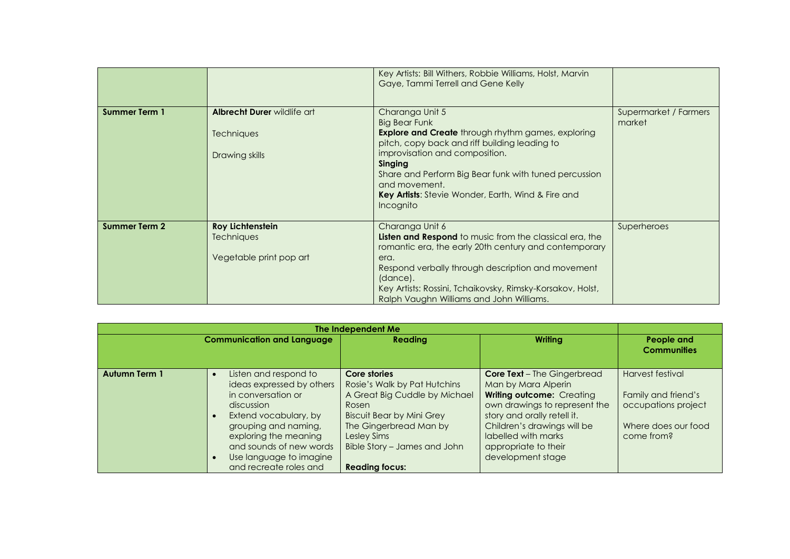|                      |                                                                  | Key Artists: Bill Withers, Robbie Williams, Holst, Marvin<br>Gaye, Tammi Terrell and Gene Kelly                                                                                                                                                                                                                                                 |                                 |
|----------------------|------------------------------------------------------------------|-------------------------------------------------------------------------------------------------------------------------------------------------------------------------------------------------------------------------------------------------------------------------------------------------------------------------------------------------|---------------------------------|
| <b>Summer Term 1</b> | Albrecht Durer wildlife art<br>Techniques<br>Drawing skills      | Charanga Unit 5<br><b>Big Bear Funk</b><br><b>Explore and Create</b> through rhythm games, exploring<br>pitch, copy back and riff building leading to<br>improvisation and composition.<br>Singing<br>Share and Perform Big Bear funk with tuned percussion<br>and movement.<br>Key Artists: Stevie Wonder, Earth, Wind & Fire and<br>Incognito | Supermarket / Farmers<br>market |
| <b>Summer Term 2</b> | <b>Roy Lichtenstein</b><br>Techniques<br>Vegetable print pop art | Charanga Unit 6<br><b>Listen and Respond</b> to music from the classical era, the<br>romantic era, the early 20th century and contemporary<br>era.<br>Respond verbally through description and movement<br>(dance).<br>Key Artists: Rossini, Tchaikovsky, Rimsky-Korsakov, Holst,<br>Ralph Vaughn Williams and John Williams.                   | Superheroes                     |

| The Independent Me   |                                                                                                                                                                                                                                                  |                                                                                                                                                                                                                              |                                                                                                                                                                                                                                                           |                                                                                                     |
|----------------------|--------------------------------------------------------------------------------------------------------------------------------------------------------------------------------------------------------------------------------------------------|------------------------------------------------------------------------------------------------------------------------------------------------------------------------------------------------------------------------------|-----------------------------------------------------------------------------------------------------------------------------------------------------------------------------------------------------------------------------------------------------------|-----------------------------------------------------------------------------------------------------|
|                      | <b>Communication and Language</b>                                                                                                                                                                                                                | <b>Reading</b>                                                                                                                                                                                                               | Writing                                                                                                                                                                                                                                                   | People and<br><b>Communities</b>                                                                    |
| <b>Autumn Term 1</b> | Listen and respond to<br>ideas expressed by others<br>in conversation or<br>discussion<br>Extend vocabulary, by<br>grouping and naming,<br>exploring the meaning<br>and sounds of new words<br>Use language to imagine<br>and recreate roles and | Core stories<br>Rosie's Walk by Pat Hutchins<br>A Great Big Cuddle by Michael<br>Rosen<br><b>Biscuit Bear by Mini Grey</b><br>The Gingerbread Man by<br>Lesley Sims<br>Bible Story - James and John<br><b>Reading focus:</b> | <b>Core Text</b> - The Gingerbread<br>Man by Mara Alperin<br>Writing outcome: Creating<br>own drawings to represent the<br>story and orally retell it.<br>Children's drawings will be<br>labelled with marks<br>appropriate to their<br>development stage | Harvest festival<br>Family and friend's<br>occupations project<br>Where does our food<br>come from? |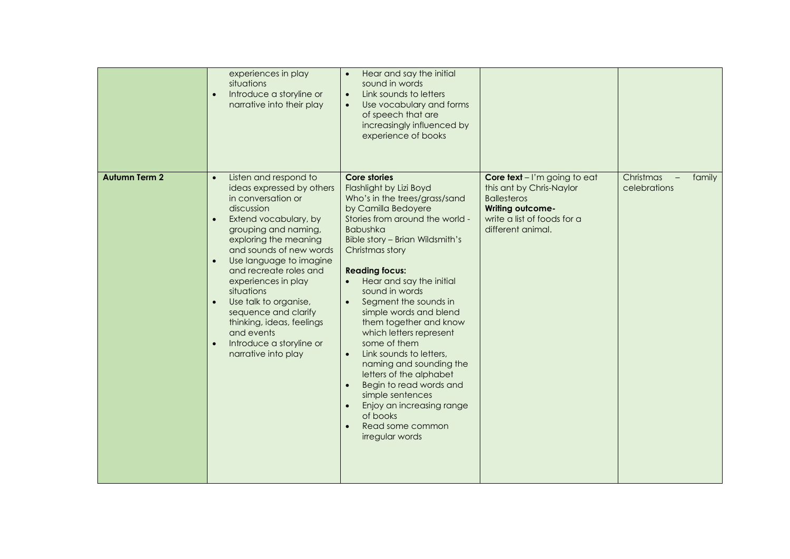|                      | experiences in play<br>situations<br>Introduce a storyline or<br>$\bullet$<br>narrative into their play                                                                                                                                                                                                                                                                                                                                                                     | Hear and say the initial<br>sound in words<br>Link sounds to letters<br>$\bullet$<br>Use vocabulary and forms<br>of speech that are<br>increasingly influenced by<br>experience of books                                                                                                                                                                                                                                                                                                                                                                                                                                                       |                                                                                                                                                               |                                     |
|----------------------|-----------------------------------------------------------------------------------------------------------------------------------------------------------------------------------------------------------------------------------------------------------------------------------------------------------------------------------------------------------------------------------------------------------------------------------------------------------------------------|------------------------------------------------------------------------------------------------------------------------------------------------------------------------------------------------------------------------------------------------------------------------------------------------------------------------------------------------------------------------------------------------------------------------------------------------------------------------------------------------------------------------------------------------------------------------------------------------------------------------------------------------|---------------------------------------------------------------------------------------------------------------------------------------------------------------|-------------------------------------|
| <b>Autumn Term 2</b> | Listen and respond to<br>$\bullet$<br>ideas expressed by others<br>in conversation or<br>discussion<br>Extend vocabulary, by<br>$\bullet$<br>grouping and naming,<br>exploring the meaning<br>and sounds of new words<br>Use language to imagine<br>and recreate roles and<br>experiences in play<br>situations<br>Use talk to organise,<br>$\bullet$<br>sequence and clarify<br>thinking, ideas, feelings<br>and events<br>Introduce a storyline or<br>narrative into play | <b>Core stories</b><br>Flashlight by Lizi Boyd<br>Who's in the trees/grass/sand<br>by Camilla Bedoyere<br>Stories from around the world -<br><b>Babushka</b><br>Bible story - Brian Wildsmith's<br>Christmas story<br><b>Reading focus:</b><br>Hear and say the initial<br>sound in words<br>Segment the sounds in<br>simple words and blend<br>them together and know<br>which letters represent<br>some of them<br>Link sounds to letters,<br>$\bullet$<br>naming and sounding the<br>letters of the alphabet<br>Begin to read words and<br>simple sentences<br>Enjoy an increasing range<br>of books<br>Read some common<br>irregular words | Core text - I'm going to eat<br>this ant by Chris-Naylor<br><b>Ballesteros</b><br><b>Writing outcome-</b><br>write a list of foods for a<br>different animal. | Christmas<br>family<br>celebrations |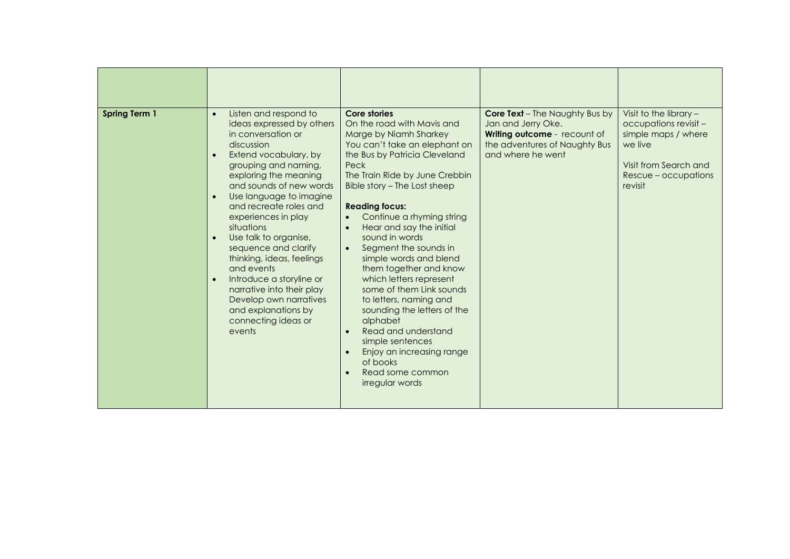| <b>Spring Term 1</b> | Listen and respond to<br>$\bullet$                                                                                                                                                                                                                                                                                                                                                                                                                                                                                                         | Core stories                                                                                                                                                                                                                                                                                                                                                                                                                                                                                                                                                                                                                                          | <b>Core Text</b> - The Naughty Bus by                                                                    | Visit to the library $-$                                                                                            |
|----------------------|--------------------------------------------------------------------------------------------------------------------------------------------------------------------------------------------------------------------------------------------------------------------------------------------------------------------------------------------------------------------------------------------------------------------------------------------------------------------------------------------------------------------------------------------|-------------------------------------------------------------------------------------------------------------------------------------------------------------------------------------------------------------------------------------------------------------------------------------------------------------------------------------------------------------------------------------------------------------------------------------------------------------------------------------------------------------------------------------------------------------------------------------------------------------------------------------------------------|----------------------------------------------------------------------------------------------------------|---------------------------------------------------------------------------------------------------------------------|
|                      | ideas expressed by others<br>in conversation or<br>discussion<br>Extend vocabulary, by<br>$\bullet$<br>grouping and naming,<br>exploring the meaning<br>and sounds of new words<br>Use language to imagine<br>$\bullet$<br>and recreate roles and<br>experiences in play<br>situations<br>Use talk to organise,<br>$\bullet$<br>sequence and clarify<br>thinking, ideas, feelings<br>and events<br>Introduce a storyline or<br>narrative into their play<br>Develop own narratives<br>and explanations by<br>connecting ideas or<br>events | On the road with Mavis and<br>Marge by Niamh Sharkey<br>You can't take an elephant on<br>the Bus by Patricia Cleveland<br>Peck<br>The Train Ride by June Crebbin<br>Bible story - The Lost sheep<br><b>Reading focus:</b><br>Continue a rhyming string<br>Hear and say the initial<br>sound in words<br>Segment the sounds in<br>$\bullet$<br>simple words and blend<br>them together and know<br>which letters represent<br>some of them Link sounds<br>to letters, naming and<br>sounding the letters of the<br>alphabet<br>Read and understand<br>simple sentences<br>Enjoy an increasing range<br>of books<br>Read some common<br>irregular words | Jan and Jerry Oke.<br>Writing outcome - recount of<br>the adventures of Naughty Bus<br>and where he went | occupations revisit -<br>simple maps / where<br>we live<br>Visit from Search and<br>Rescue - occupations<br>revisit |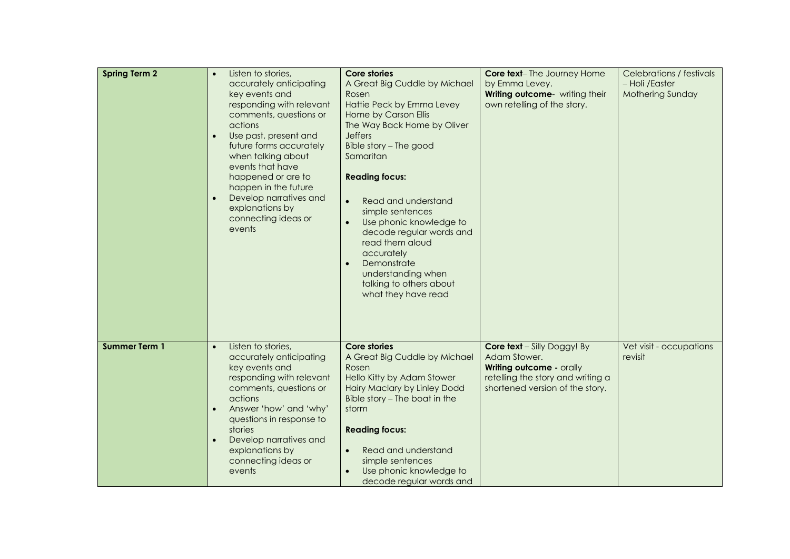| <b>Spring Term 2</b> | Listen to stories,<br>accurately anticipating<br>key events and<br>responding with relevant<br>comments, questions or<br>actions<br>Use past, present and<br>$\bullet$<br>future forms accurately<br>when talking about<br>events that have<br>happened or are to<br>happen in the future<br>Develop narratives and<br>explanations by<br>connecting ideas or<br>events | <b>Core stories</b><br>A Great Big Cuddle by Michael<br>Rosen<br>Hattie Peck by Emma Levey<br>Home by Carson Ellis<br>The Way Back Home by Oliver<br><b>Jeffers</b><br>Bible story - The good<br>Samaritan<br><b>Reading focus:</b><br>Read and understand<br>simple sentences<br>Use phonic knowledge to<br>decode regular words and<br>read them aloud<br>accurately<br>Demonstrate<br>understanding when<br>talking to others about<br>what they have read | <b>Core text-</b> The Journey Home<br>by Emma Levey.<br>Writing outcome- writing their<br>own retelling of the story.                                  | Celebrations / festivals<br>- Holi /Easter<br><b>Mothering Sunday</b> |
|----------------------|-------------------------------------------------------------------------------------------------------------------------------------------------------------------------------------------------------------------------------------------------------------------------------------------------------------------------------------------------------------------------|---------------------------------------------------------------------------------------------------------------------------------------------------------------------------------------------------------------------------------------------------------------------------------------------------------------------------------------------------------------------------------------------------------------------------------------------------------------|--------------------------------------------------------------------------------------------------------------------------------------------------------|-----------------------------------------------------------------------|
| <b>Summer Term 1</b> | Listen to stories,<br>$\bullet$<br>accurately anticipating<br>key events and<br>responding with relevant<br>comments, questions or<br>actions<br>Answer 'how' and 'why'<br>questions in response to<br>stories<br>Develop narratives and<br>explanations by<br>connecting ideas or<br>events                                                                            | Core stories<br>A Great Big Cuddle by Michael<br>Rosen<br>Hello Kitty by Adam Stower<br><b>Hairy Maclary by Linley Dodd</b><br>Bible story - The boat in the<br>storm<br><b>Reading focus:</b><br>Read and understand<br>$\bullet$<br>simple sentences<br>Use phonic knowledge to<br>decode regular words and                                                                                                                                                 | <b>Core text</b> - Silly Doggy! By<br>Adam Stower.<br>Writing outcome - orally<br>retelling the story and writing a<br>shortened version of the story. | Vet visit - occupations<br>revisit                                    |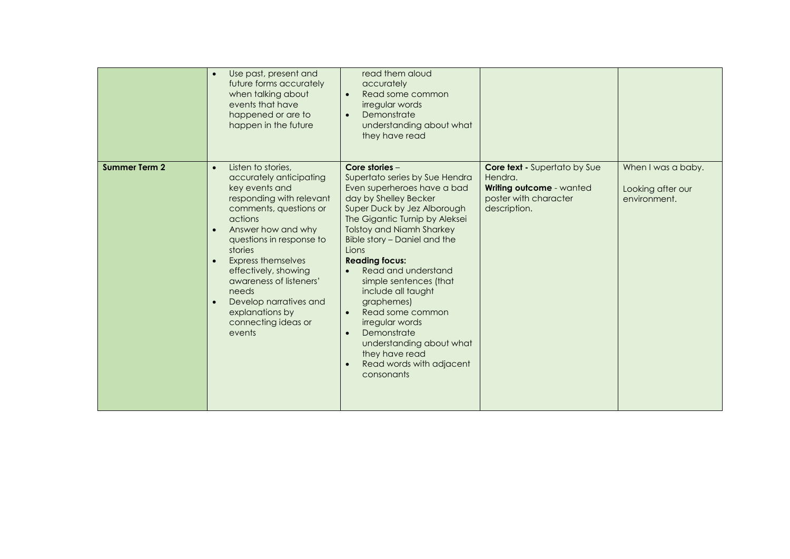|                      | Use past, present and<br>future forms accurately<br>when talking about<br>events that have<br>happened or are to<br>happen in the future                                                                                                                                                                                                                                                       | read them aloud<br>accurately<br>Read some common<br>$\bullet$<br>irregular words<br>Demonstrate<br>$\bullet$<br>understanding about what<br>they have read                                                                                                                                                                                                                                                                                                                                                                                                 |                                                                                                                     |                                                         |
|----------------------|------------------------------------------------------------------------------------------------------------------------------------------------------------------------------------------------------------------------------------------------------------------------------------------------------------------------------------------------------------------------------------------------|-------------------------------------------------------------------------------------------------------------------------------------------------------------------------------------------------------------------------------------------------------------------------------------------------------------------------------------------------------------------------------------------------------------------------------------------------------------------------------------------------------------------------------------------------------------|---------------------------------------------------------------------------------------------------------------------|---------------------------------------------------------|
| <b>Summer Term 2</b> | Listen to stories,<br>$\bullet$<br>accurately anticipating<br>key events and<br>responding with relevant<br>comments, questions or<br>actions<br>Answer how and why<br>$\bullet$<br>questions in response to<br>stories<br><b>Express themselves</b><br>effectively, showing<br>awareness of listeners'<br>needs<br>Develop narratives and<br>explanations by<br>connecting ideas or<br>events | Core stories $-$<br>Supertato series by Sue Hendra<br>Even superheroes have a bad<br>day by Shelley Becker<br>Super Duck by Jez Alborough<br>The Gigantic Turnip by Aleksei<br><b>Tolstoy and Niamh Sharkey</b><br>Bible story - Daniel and the<br>Lions<br><b>Reading focus:</b><br>Read and understand<br>$\bullet$<br>simple sentences (that<br>include all taught<br>graphemes)<br>Read some common<br>$\bullet$<br>irregular words<br>Demonstrate<br>$\bullet$<br>understanding about what<br>they have read<br>Read words with adjacent<br>consonants | <b>Core text - Supertato by Sue</b><br>Hendra.<br>Writing outcome - wanted<br>poster with character<br>description. | When I was a baby.<br>Looking after our<br>environment. |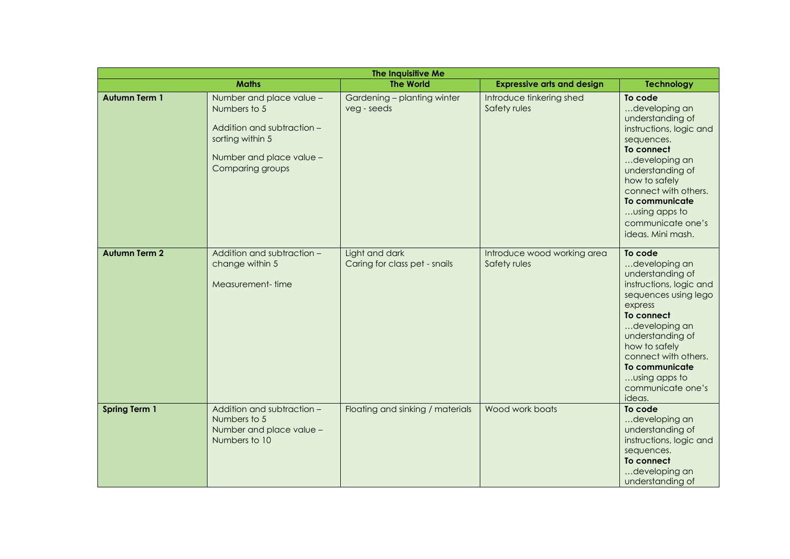|                      |                                                                                                                                            | The Inquisitive Me                              |                                             |                                                                                                                                                                                                                                                                          |
|----------------------|--------------------------------------------------------------------------------------------------------------------------------------------|-------------------------------------------------|---------------------------------------------|--------------------------------------------------------------------------------------------------------------------------------------------------------------------------------------------------------------------------------------------------------------------------|
|                      | <b>Maths</b>                                                                                                                               | <b>The World</b>                                | <b>Expressive arts and design</b>           | <b>Technology</b>                                                                                                                                                                                                                                                        |
| <b>Autumn Term 1</b> | Number and place value -<br>Numbers to 5<br>Addition and subtraction -<br>sorting within 5<br>Number and place value -<br>Comparing groups | Gardening - planting winter<br>veg - seeds      | Introduce tinkering shed<br>Safety rules    | To code<br>developing an<br>understanding of<br>instructions, logic and<br>sequences.<br>To connect<br>developing an<br>understanding of<br>how to safely<br>connect with others.<br>To communicate<br>using apps to<br>communicate one's<br>ideas. Mini mash.           |
| <b>Autumn Term 2</b> | Addition and subtraction -<br>change within 5<br>Measurement-time                                                                          | Light and dark<br>Caring for class pet - snails | Introduce wood working area<br>Safety rules | To code<br>developing an<br>understanding of<br>instructions, logic and<br>sequences using lego<br>express<br>To connect<br>developing an<br>understanding of<br>how to safely<br>connect with others.<br>To communicate<br>using apps to<br>communicate one's<br>ideas. |
| <b>Spring Term 1</b> | Addition and subtraction -<br>Numbers to 5<br>Number and place value -<br>Numbers to 10                                                    | Floating and sinking / materials                | Wood work boats                             | To code<br>developing an<br>understanding of<br>instructions, logic and<br>sequences.<br>To connect<br>developing an<br>understanding of                                                                                                                                 |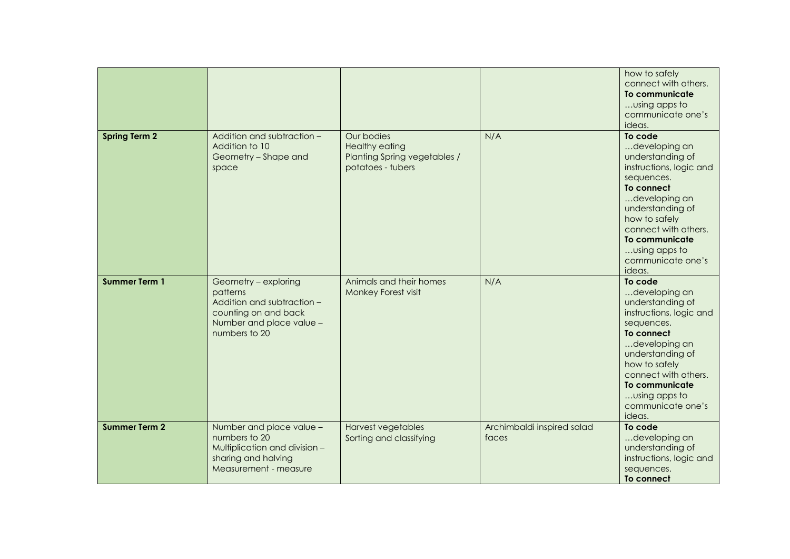|                      |                                                                                                                                     |                                                                                          |                                     | how to safely<br>connect with others.<br>To communicate<br>using apps to<br>communicate one's<br>ideas.                                                                                                                                             |
|----------------------|-------------------------------------------------------------------------------------------------------------------------------------|------------------------------------------------------------------------------------------|-------------------------------------|-----------------------------------------------------------------------------------------------------------------------------------------------------------------------------------------------------------------------------------------------------|
| <b>Spring Term 2</b> | Addition and subtraction -<br>Addition to 10<br>Geometry - Shape and<br>space                                                       | Our bodies<br><b>Healthy eating</b><br>Planting Spring vegetables /<br>potatoes - tubers | N/A                                 | To code<br>developing an<br>understanding of<br>instructions, logic and<br>sequences.<br>To connect<br>developing an<br>understanding of<br>how to safely<br>connect with others.<br>To communicate<br>using apps to<br>communicate one's<br>ideas. |
| <b>Summer Term 1</b> | Geometry - exploring<br>patterns<br>Addition and subtraction -<br>counting on and back<br>Number and place value -<br>numbers to 20 | Animals and their homes<br>Monkey Forest visit                                           | N/A                                 | To code<br>developing an<br>understanding of<br>instructions, logic and<br>sequences.<br>To connect<br>developing an<br>understanding of<br>how to safely<br>connect with others.<br>To communicate<br>using apps to<br>communicate one's<br>ideas. |
| <b>Summer Term 2</b> | Number and place value -<br>numbers to 20<br>Multiplication and division -<br>sharing and halving<br>Measurement - measure          | Harvest vegetables<br>Sorting and classifying                                            | Archimbaldi inspired salad<br>faces | To code<br>developing an<br>understanding of<br>instructions, logic and<br>sequences.<br>To connect                                                                                                                                                 |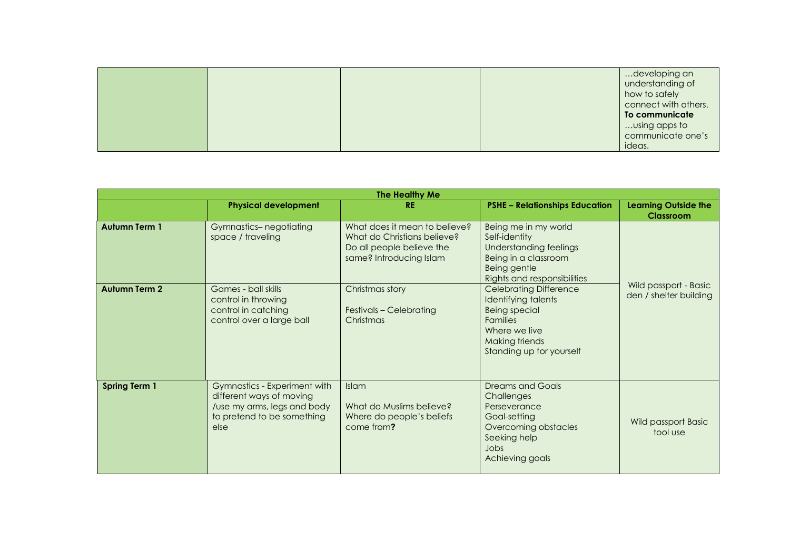|  |  | developing an        |
|--|--|----------------------|
|  |  | understanding of     |
|  |  | how to safely        |
|  |  | connect with others. |
|  |  | To communicate       |
|  |  | using apps to        |
|  |  | communicate one's    |
|  |  | ideas.               |

| The Healthy Me       |                                                                                                                               |                                                                                                                      |                                                                                                                                                                |                                                 |  |  |  |
|----------------------|-------------------------------------------------------------------------------------------------------------------------------|----------------------------------------------------------------------------------------------------------------------|----------------------------------------------------------------------------------------------------------------------------------------------------------------|-------------------------------------------------|--|--|--|
|                      | <b>Physical development</b>                                                                                                   | <b>RE</b>                                                                                                            | <b>PSHE - Relationships Education</b>                                                                                                                          | <b>Learning Outside the</b><br><b>Classroom</b> |  |  |  |
| <b>Autumn Term 1</b> | Gymnastics-negotiating<br>space / traveling                                                                                   | What does it mean to believe?<br>What do Christians believe?<br>Do all people believe the<br>same? Introducing Islam | Being me in my world<br>Self-identity<br>Understanding feelings<br>Being in a classroom<br>Being gentle<br>Rights and responsibilities                         | Wild passport - Basic<br>den / shelter building |  |  |  |
| <b>Autumn Term 2</b> | Games - ball skills<br>control in throwing<br>control in catching<br>control over a large ball                                | Christmas story<br>Festivals - Celebrating<br>Christmas                                                              | <b>Celebrating Difference</b><br>Identifying talents<br><b>Being special</b><br><b>Families</b><br>Where we live<br>Making friends<br>Standing up for yourself |                                                 |  |  |  |
| <b>Spring Term 1</b> | Gymnastics - Experiment with<br>different ways of moving<br>/use my arms, legs and body<br>to pretend to be something<br>else | Islam<br>What do Muslims believe?<br>Where do people's beliefs<br>come from?                                         | <b>Dreams and Goals</b><br>Challenges<br>Perseverance<br>Goal-setting<br>Overcoming obstacles<br>Seeking help<br>Jobs<br>Achieving goals                       | Wild passport Basic<br>tool use                 |  |  |  |